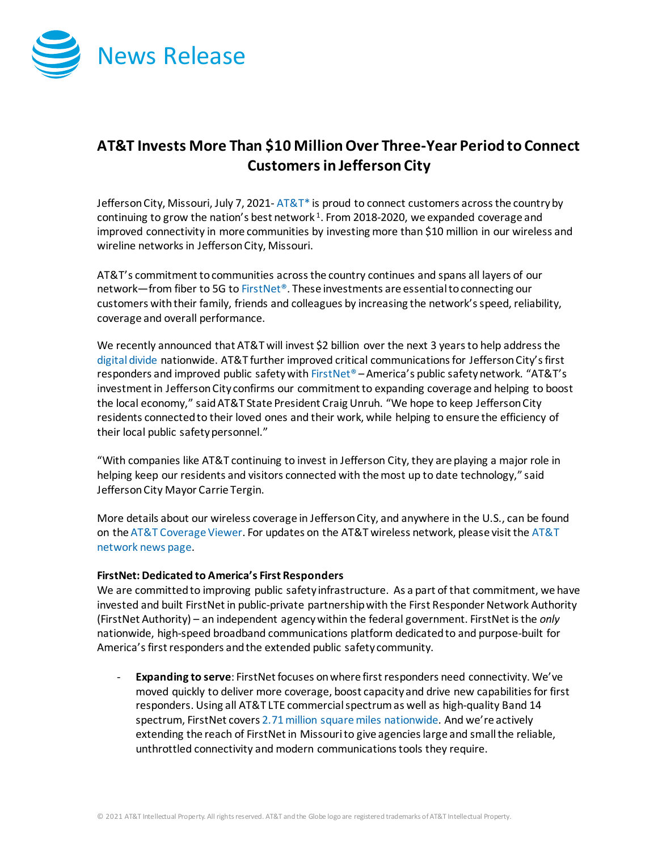

## **AT&T Invests More Than \$10 MillionOver Three-Year Period to Connect Customersin Jefferson City**

Jefferson City, Missouri, July 7, 2021- $AT&T^*$  is proud to connect customers across the country by continuing to grow the nation's best network  $1$ . From 2018-2020, we expanded coverage and improved connectivity in more communities by investing more than \$10 million in our wireless and wireline networks in Jefferson City, Missouri.

AT&T's commitment to communities across the country continues and spans all layers of our network—from fiber to 5G t[o FirstNet®](http://www.firstnet.com/). These investments are essential to connecting our customers with their family, friends and colleagues by increasing the network's speed, reliability, coverage and overall performance.

We recently announced that AT&T will invest \$2 billion over the next 3 years to help address the [digital divide](https://about.att.com/story/2021/digital_divide.html) nationwide. AT&T further improved critical communications for Jefferson City'sfirst responders and improved public safety wit[h FirstNet®](http://www.firstnet.com/) – America's public safety network. "AT&T's investment in Jefferson City confirms our commitment to expanding coverage and helping to boost the local economy," said AT&T State President Craig Unruh. "We hope to keep Jefferson City residents connected to their loved ones and their work, while helping to ensure the efficiency of their local public safety personnel."

"With companies like AT&T continuing to invest in Jefferson City, they are playing a major role in helping keep our residents and visitors connected with the most up to date technology," said Jefferson City Mayor Carrie Tergin.

More details about our wireless coverage in Jefferson City, and anywhere in the U.S., can be found on th[e AT&T Coverage Viewer.](https://www.att.com/maps/wireless-coverage.html) For updates on the AT&T wireless network, please visit th[e AT&T](https://about.att.com/innovation/network_and_field_operations)  [network news page.](https://about.att.com/innovation/network_and_field_operations)

## **FirstNet: Dedicated to America's First Responders**

We are committed to improving public safety infrastructure. As a part of that commitment, we have invested and built FirstNet in public-private partnership with the First Responder Network Authority (FirstNet Authority) – an independent agency within the federal government. FirstNet is the *only* nationwide, high-speed broadband communications platform dedicated to and purpose-built for America's first responders and the extended public safety community.

- **Expanding to serve**: FirstNet focuses on where first responders need connectivity. We've moved quickly to deliver more coverage, boost capacity and drive new capabilities for first responders. Using all AT&T LTE commercial spectrum as well as high-quality Band 14 spectrum, FirstNet cover[s 2.71 million square miles nationwide.](https://about.att.com/story/2021/fn_expands.html) And we're actively extending the reach of FirstNet in Missourito give agencies large and small the reliable, unthrottled connectivity and modern communications tools they require.